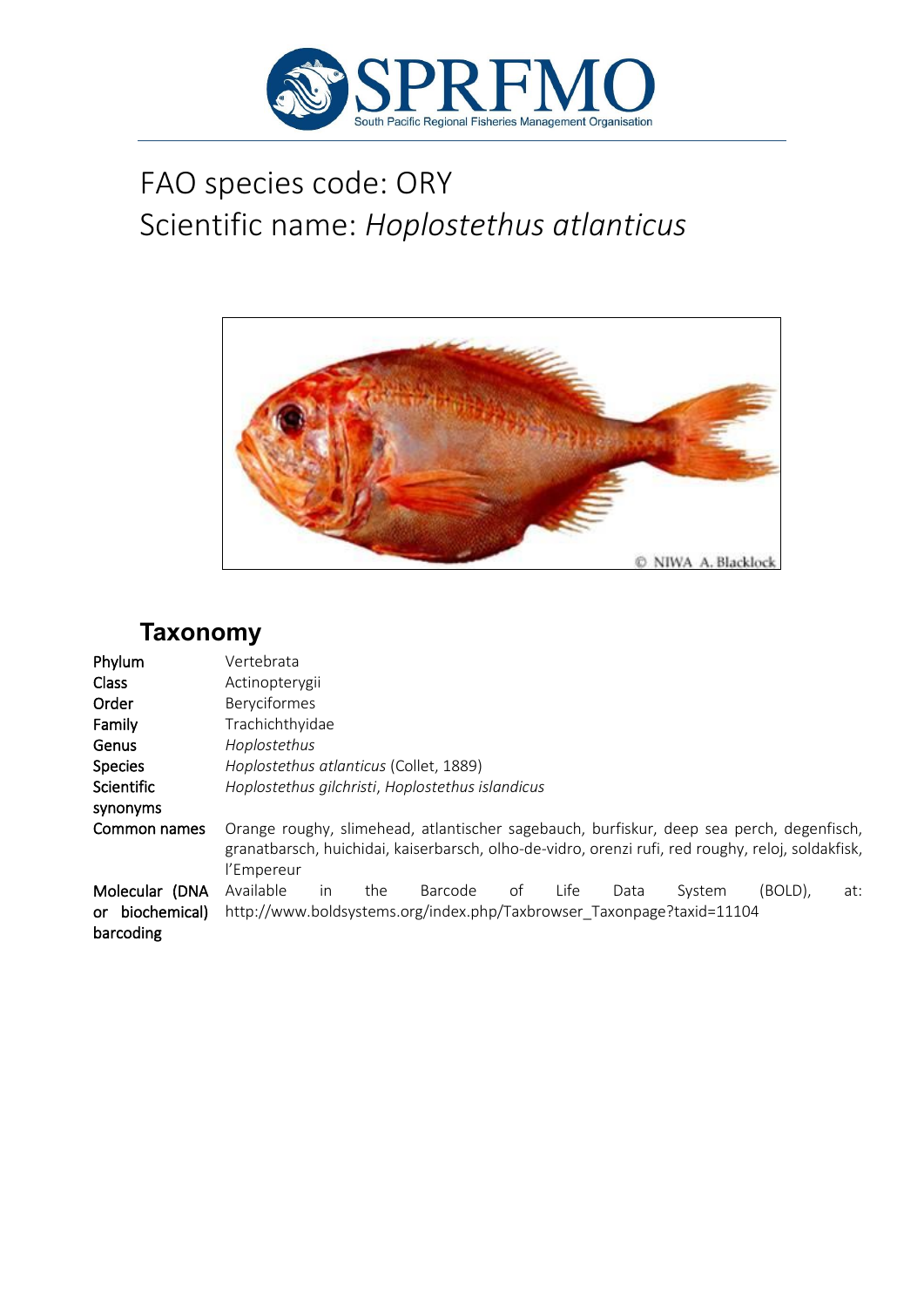

# FAO species code: ORY Scientific name: *Hoplostethus atlanticus*



## **Taxonomy**

| Phylum                                         | Vertebrata                                                                                                                                                                                                  |
|------------------------------------------------|-------------------------------------------------------------------------------------------------------------------------------------------------------------------------------------------------------------|
| <b>Class</b>                                   | Actinopterygii                                                                                                                                                                                              |
| Order                                          | Beryciformes                                                                                                                                                                                                |
| Family                                         | Trachichthyidae                                                                                                                                                                                             |
| Genus                                          | Hoplostethus                                                                                                                                                                                                |
| <b>Species</b>                                 | Hoplostethus atlanticus (Collet, 1889)                                                                                                                                                                      |
| Scientific                                     | Hoplostethus gilchristi, Hoplostethus islandicus                                                                                                                                                            |
| synonyms                                       |                                                                                                                                                                                                             |
| Common names                                   | Orange roughy, slimehead, atlantischer sagebauch, burfiskur, deep sea perch, degenfisch,<br>granatbarsch, huichidai, kaiserbarsch, olho-de-vidro, orenzi rufi, red roughy, reloj, soldakfisk,<br>l'Empereur |
| Molecular (DNA<br>or biochemical)<br>barcoding | Available<br>(BOLD),<br>Life<br>Barcode<br>of<br>the<br>System<br>Data<br>at:<br><i>in</i><br>http://www.boldsystems.org/index.php/Taxbrowser Taxonpage?taxid=11104                                         |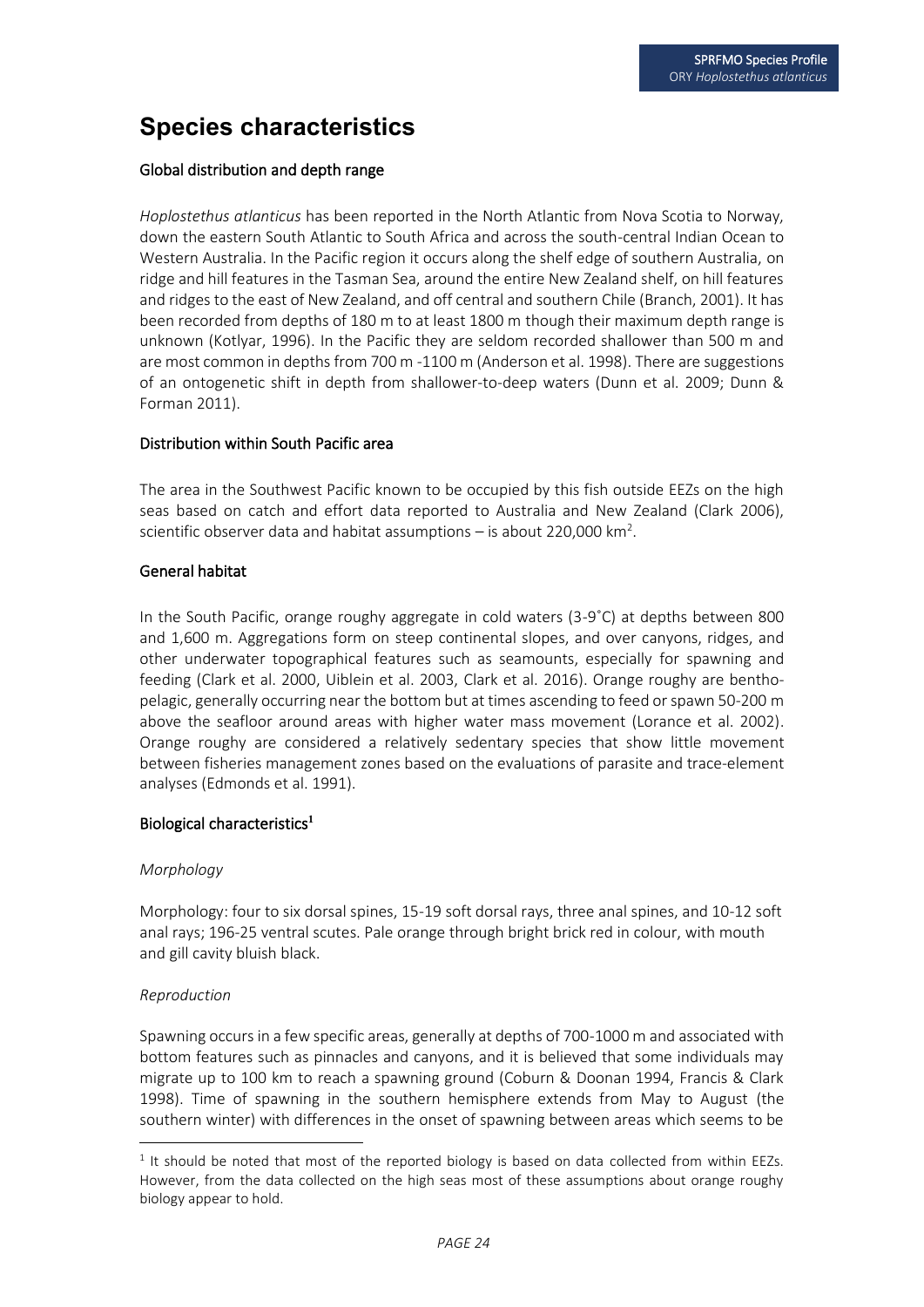## **Species characteristics**

#### Global distribution and depth range

*Hoplostethus atlanticus* has been reported in the North Atlantic from Nova Scotia to Norway, down the eastern South Atlantic to South Africa and across the south-central Indian Ocean to Western Australia. In the Pacific region it occurs along the shelf edge of southern Australia, on ridge and hill features in the Tasman Sea, around the entire New Zealand shelf, on hill features and ridges to the east of New Zealand, and off central and southern Chile (Branch, 2001). It has been recorded from depths of 180 m to at least 1800 m though their maximum depth range is unknown (Kotlyar, 1996). In the Pacific they are seldom recorded shallower than 500 m and are most common in depths from 700 m -1100 m (Anderson et al. 1998). There are suggestions of an ontogenetic shift in depth from shallower-to-deep waters (Dunn et al. 2009; Dunn & Forman 2011).

#### Distribution within South Pacific area

The area in the Southwest Pacific known to be occupied by this fish outside EEZs on the high seas based on catch and effort data reported to Australia and New Zealand (Clark 2006), scientific observer data and habitat assumptions  $-$  is about 220,000 km<sup>2</sup>.

#### General habitat

In the South Pacific, orange roughy aggregate in cold waters (3-9˚C) at depths between 800 and 1,600 m. Aggregations form on steep continental slopes, and over canyons, ridges, and other underwater topographical features such as seamounts, especially for spawning and feeding (Clark et al. 2000, Uiblein et al. 2003, Clark et al. 2016). Orange roughy are benthopelagic, generally occurring near the bottom but at times ascending to feed or spawn 50-200 m above the seafloor around areas with higher water mass movement (Lorance et al. 2002). Orange roughy are considered a relatively sedentary species that show little movement between fisheries management zones based on the evaluations of parasite and trace-element analyses (Edmonds et al. 1991).

#### Biological characteristics**<sup>1</sup>**

#### *Morphology*

Morphology: four to six dorsal spines, 15-19 soft dorsal rays, three anal spines, and 10-12 soft anal rays; 196-25 ventral scutes. Pale orange through bright brick red in colour, with mouth and gill cavity bluish black.

#### *Reproduction*

Spawning occurs in a few specific areas, generally at depths of 700-1000 m and associated with bottom features such as pinnacles and canyons, and it is believed that some individuals may migrate up to 100 km to reach a spawning ground (Coburn & Doonan 1994, Francis & Clark 1998). Time of spawning in the southern hemisphere extends from May to August (the southern winter) with differences in the onset of spawning between areas which seems to be

 $<sup>1</sup>$  It should be noted that most of the reported biology is based on data collected from within EEZs.</sup> However, from the data collected on the high seas most of these assumptions about orange roughy biology appear to hold.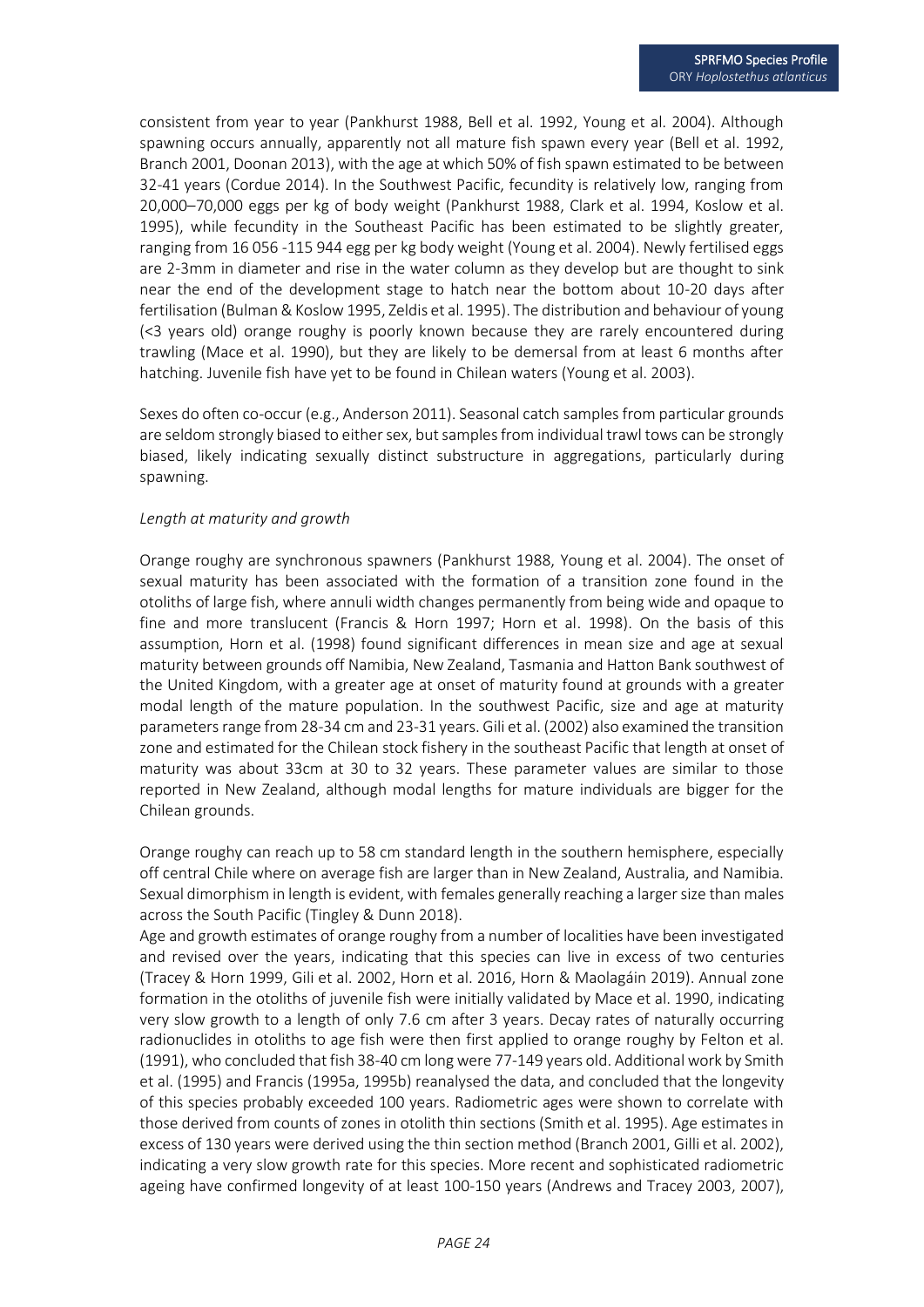consistent from year to year (Pankhurst 1988, Bell et al. 1992, Young et al. 2004). Although spawning occurs annually, apparently not all mature fish spawn every year (Bell et al. 1992, Branch 2001, Doonan 2013), with the age at which 50% of fish spawn estimated to be between 32-41 years (Cordue 2014). In the Southwest Pacific, fecundity is relatively low, ranging from 20,000–70,000 eggs per kg of body weight (Pankhurst 1988, Clark et al. 1994, Koslow et al. 1995), while fecundity in the Southeast Pacific has been estimated to be slightly greater, ranging from 16 056 -115 944 egg per kg body weight (Young et al. 2004). Newly fertilised eggs are 2-3mm in diameter and rise in the water column as they develop but are thought to sink near the end of the development stage to hatch near the bottom about 10-20 days after fertilisation (Bulman & Koslow 1995, Zeldis et al. 1995). The distribution and behaviour of young (<3 years old) orange roughy is poorly known because they are rarely encountered during trawling (Mace et al. 1990), but they are likely to be demersal from at least 6 months after hatching. Juvenile fish have yet to be found in Chilean waters (Young et al. 2003).

Sexes do often co-occur (e.g., Anderson 2011). Seasonal catch samples from particular grounds are seldom strongly biased to either sex, but samples from individual trawl tows can be strongly biased, likely indicating sexually distinct substructure in aggregations, particularly during spawning.

#### *Length at maturity and growth*

Orange roughy are synchronous spawners (Pankhurst 1988, Young et al. 2004). The onset of sexual maturity has been associated with the formation of a transition zone found in the otoliths of large fish, where annuli width changes permanently from being wide and opaque to fine and more translucent (Francis & Horn 1997; Horn et al. 1998). On the basis of this assumption, Horn et al. (1998) found significant differences in mean size and age at sexual maturity between grounds off Namibia, New Zealand, Tasmania and Hatton Bank southwest of the United Kingdom, with a greater age at onset of maturity found at grounds with a greater modal length of the mature population. In the southwest Pacific, size and age at maturity parameters range from 28-34 cm and 23-31 years. Gili et al. (2002) also examined the transition zone and estimated for the Chilean stock fishery in the southeast Pacific that length at onset of maturity was about 33cm at 30 to 32 years. These parameter values are similar to those reported in New Zealand, although modal lengths for mature individuals are bigger for the Chilean grounds.

Orange roughy can reach up to 58 cm standard length in the southern hemisphere, especially off central Chile where on average fish are larger than in New Zealand, Australia, and Namibia. Sexual dimorphism in length is evident, with females generally reaching a larger size than males across the South Pacific (Tingley & Dunn 2018).

Age and growth estimates of orange roughy from a number of localities have been investigated and revised over the years, indicating that this species can live in excess of two centuries (Tracey & Horn 1999, Gili et al. 2002, Horn et al. 2016, Horn & Maolagáin 2019). Annual zone formation in the otoliths of juvenile fish were initially validated by Mace et al. 1990, indicating very slow growth to a length of only 7.6 cm after 3 years. Decay rates of naturally occurring radionuclides in otoliths to age fish were then first applied to orange roughy by Felton et al. (1991), who concluded that fish 38-40 cm long were 77-149 years old. Additional work by Smith et al. (1995) and Francis (1995a, 1995b) reanalysed the data, and concluded that the longevity of this species probably exceeded 100 years. Radiometric ages were shown to correlate with those derived from counts of zones in otolith thin sections (Smith et al. 1995). Age estimates in excess of 130 years were derived using the thin section method (Branch 2001, Gilli et al. 2002), indicating a very slow growth rate for this species. More recent and sophisticated radiometric ageing have confirmed longevity of at least 100-150 years (Andrews and Tracey 2003, 2007),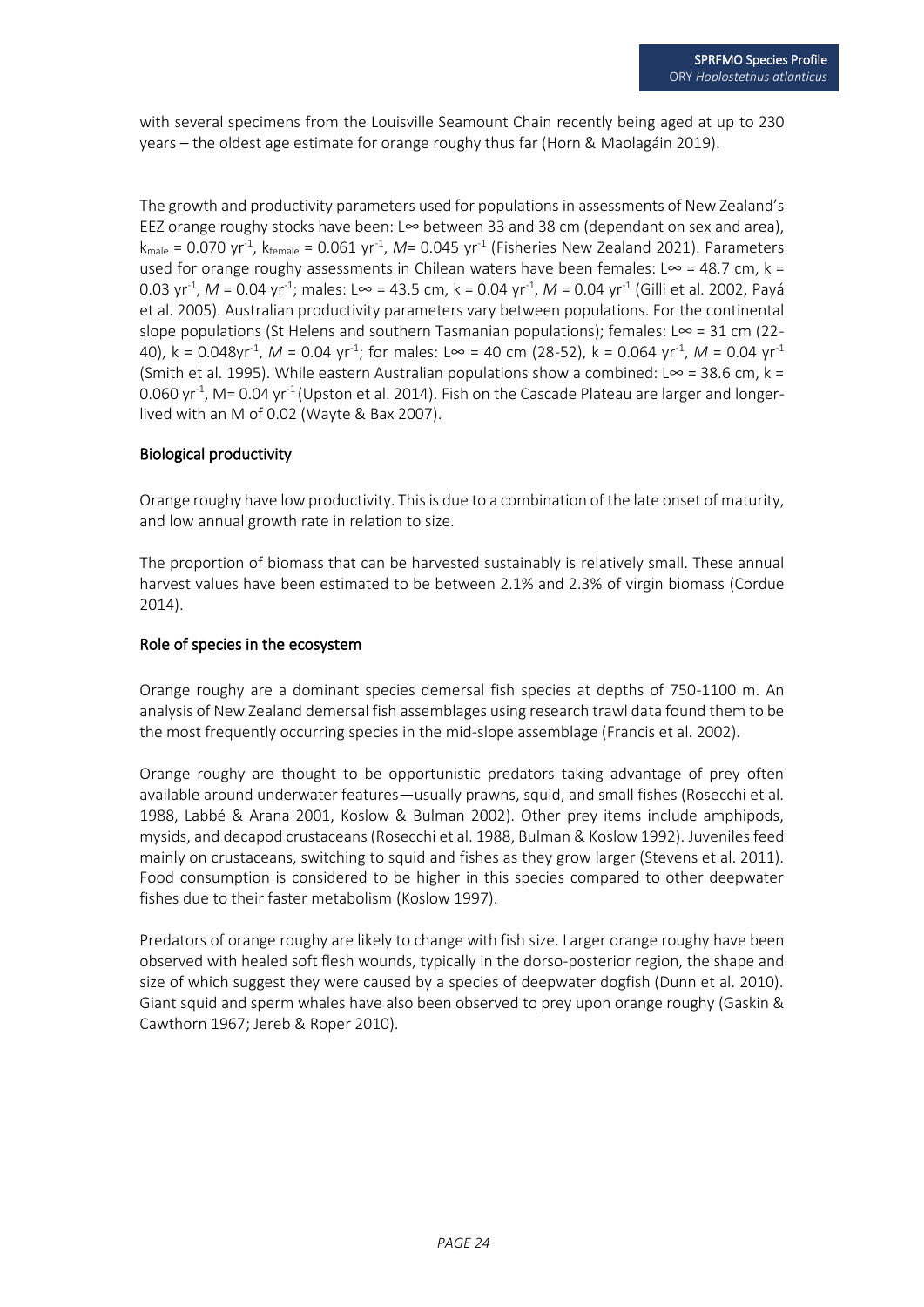with several specimens from the Louisville Seamount Chain recently being aged at up to 230 years – the oldest age estimate for orange roughy thus far (Horn & Maolagáin 2019).

The growth and productivity parameters used for populations in assessments of New Zealand's EEZ orange roughy stocks have been: L∞ between 33 and 38 cm (dependant on sex and area),  $k_{\text{male}} = 0.070 \, \text{yr}^{\text{-1}}$ ,  $k_{\text{female}} = 0.061 \, \text{yr}^{\text{-1}}$ , *M*= 0.045  $\text{yr}^{\text{-1}}$  (Fisheries New Zealand 2021). Parameters used for orange roughy assessments in Chilean waters have been females: L∞ = 48.7 cm, k = 0.03 yr<sup>-1</sup>, *M* = 0.04 yr<sup>-1</sup>; males: L∞ = 43.5 cm, k = 0.04 yr<sup>-1</sup>, *M* = 0.04 yr<sup>-1</sup> (Gilli et al. 2002, Payá et al. 2005). Australian productivity parameters vary between populations. For the continental slope populations (St Helens and southern Tasmanian populations); females: L∞ = 31 cm (22-40), k = 0.048yr<sup>-1</sup>, *M* = 0.04 yr<sup>-1</sup>; for males: L∞ = 40 cm (28-52), k = 0.064 yr<sup>-1</sup>, *M* = 0.04 yr<sup>-1</sup> (Smith et al. 1995). While eastern Australian populations show a combined: L∞ = 38.6 cm, k = 0.060 yr<sup>-1</sup>, M= 0.04 yr<sup>-1</sup> (Upston et al. 2014). Fish on the Cascade Plateau are larger and longerlived with an M of 0.02 (Wayte & Bax 2007).

#### Biological productivity

Orange roughy have low productivity. This is due to a combination of the late onset of maturity, and low annual growth rate in relation to size.

The proportion of biomass that can be harvested sustainably is relatively small. These annual harvest values have been estimated to be between 2.1% and 2.3% of virgin biomass (Cordue 2014).

#### Role of species in the ecosystem

Orange roughy are a dominant species demersal fish species at depths of 750-1100 m. An analysis of New Zealand demersal fish assemblages using research trawl data found them to be the most frequently occurring species in the mid-slope assemblage (Francis et al. 2002).

Orange roughy are thought to be opportunistic predators taking advantage of prey often available around underwater features—usually prawns, squid, and small fishes (Rosecchi et al. 1988, Labbé & Arana 2001, Koslow & Bulman 2002). Other prey items include amphipods, mysids, and decapod crustaceans (Rosecchi et al. 1988, Bulman & Koslow 1992). Juveniles feed mainly on crustaceans, switching to squid and fishes as they grow larger (Stevens et al. 2011). Food consumption is considered to be higher in this species compared to other deepwater fishes due to their faster metabolism (Koslow 1997).

Predators of orange roughy are likely to change with fish size. Larger orange roughy have been observed with healed soft flesh wounds, typically in the dorso-posterior region, the shape and size of which suggest they were caused by a species of deepwater dogfish (Dunn et al. 2010). Giant squid and sperm whales have also been observed to prey upon orange roughy (Gaskin & Cawthorn 1967; Jereb & Roper 2010).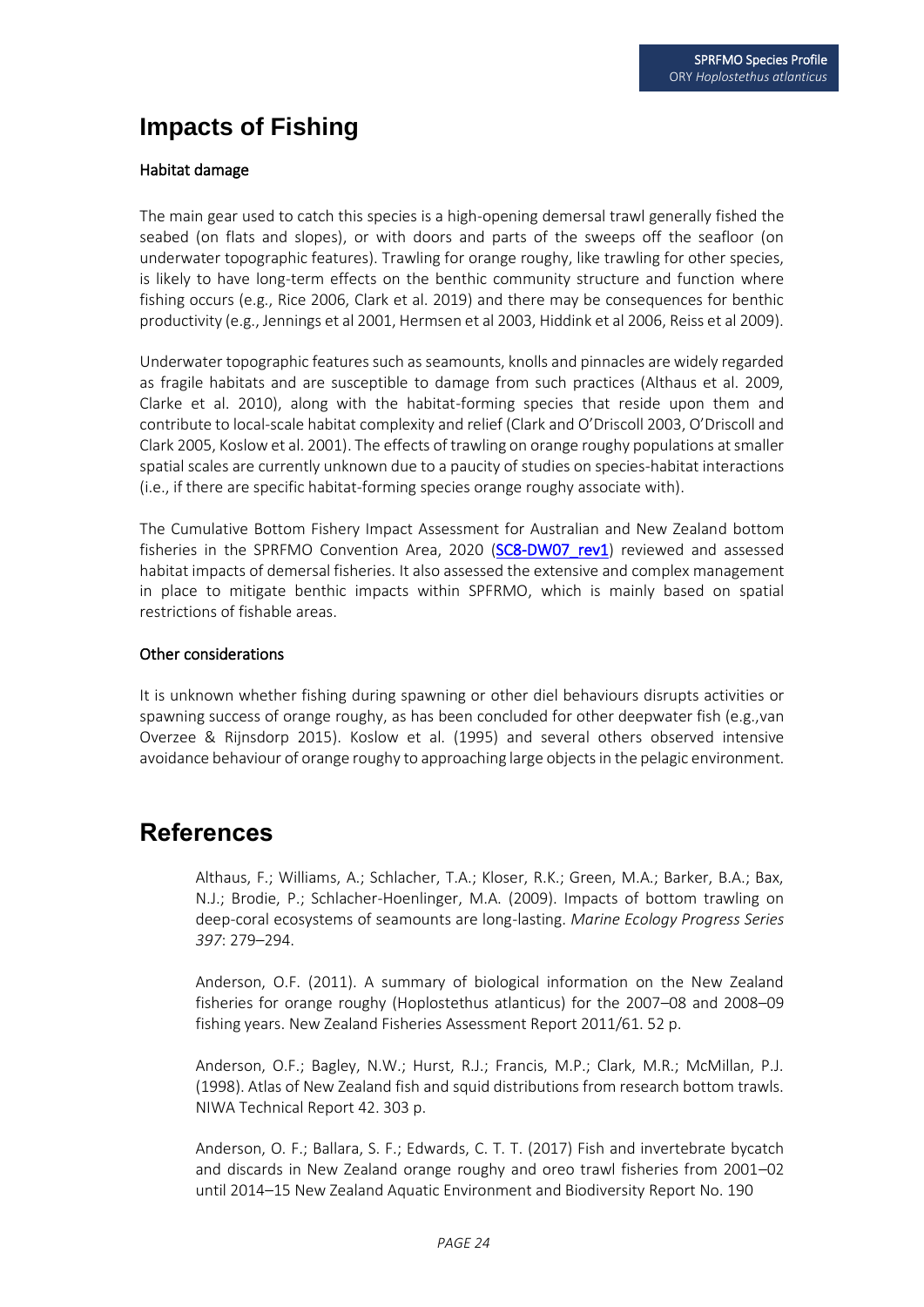### **Impacts of Fishing**

#### Habitat damage

The main gear used to catch this species is a high-opening demersal trawl generally fished the seabed (on flats and slopes), or with doors and parts of the sweeps off the seafloor (on underwater topographic features). Trawling for orange roughy, like trawling for other species, is likely to have long-term effects on the benthic community structure and function where fishing occurs (e.g., Rice 2006, Clark et al. 2019) and there may be consequences for benthic productivity (e.g., Jennings et al 2001, Hermsen et al 2003, Hiddink et al 2006, Reiss et al 2009).

Underwater topographic features such as seamounts, knolls and pinnacles are widely regarded as fragile habitats and are susceptible to damage from such practices (Althaus et al. 2009, Clarke et al. 2010), along with the habitat-forming species that reside upon them and contribute to local-scale habitat complexity and relief (Clark and O'Driscoll 2003, O'Driscoll and Clark 2005, Koslow et al. 2001). The effects of trawling on orange roughy populations at smaller spatial scales are currently unknown due to a paucity of studies on species-habitat interactions (i.e., if there are specific habitat-forming species orange roughy associate with).

The Cumulative Bottom Fishery Impact Assessment for Australian and New Zealand bottom fisheries in the SPRFMO Convention Area, 2020 (SC8-DW07 rev1) reviewed and assessed habitat impacts of demersal fisheries. It also assessed the extensive and complex management in place to mitigate benthic impacts within SPFRMO, which is mainly based on spatial restrictions of fishable areas.

#### Other considerations

It is unknown whether fishing during spawning or other diel behaviours disrupts activities or spawning success of orange roughy, as has been concluded for other deepwater fish (e.g.,van Overzee & Rijnsdorp 2015). Koslow et al. (1995) and several others observed intensive avoidance behaviour of orange roughy to approaching large objects in the pelagic environment.

### **References**

Althaus, F.; Williams, A.; Schlacher, T.A.; Kloser, R.K.; Green, M.A.; Barker, B.A.; Bax, N.J.; Brodie, P.; Schlacher-Hoenlinger, M.A. (2009). Impacts of bottom trawling on deep-coral ecosystems of seamounts are long-lasting. *Marine Ecology Progress Series 397*: 279–294.

Anderson, O.F. (2011). A summary of biological information on the New Zealand fisheries for orange roughy (Hoplostethus atlanticus) for the 2007–08 and 2008–09 fishing years. New Zealand Fisheries Assessment Report 2011/61. 52 p.

Anderson, O.F.; Bagley, N.W.; Hurst, R.J.; Francis, M.P.; Clark, M.R.; McMillan, P.J. (1998). Atlas of New Zealand fish and squid distributions from research bottom trawls. NIWA Technical Report 42. 303 p.

Anderson, O. F.; Ballara, S. F.; Edwards, C. T. T. (2017) Fish and invertebrate bycatch and discards in New Zealand orange roughy and oreo trawl fisheries from 2001–02 until 2014–15 New Zealand Aquatic Environment and Biodiversity Report No. 190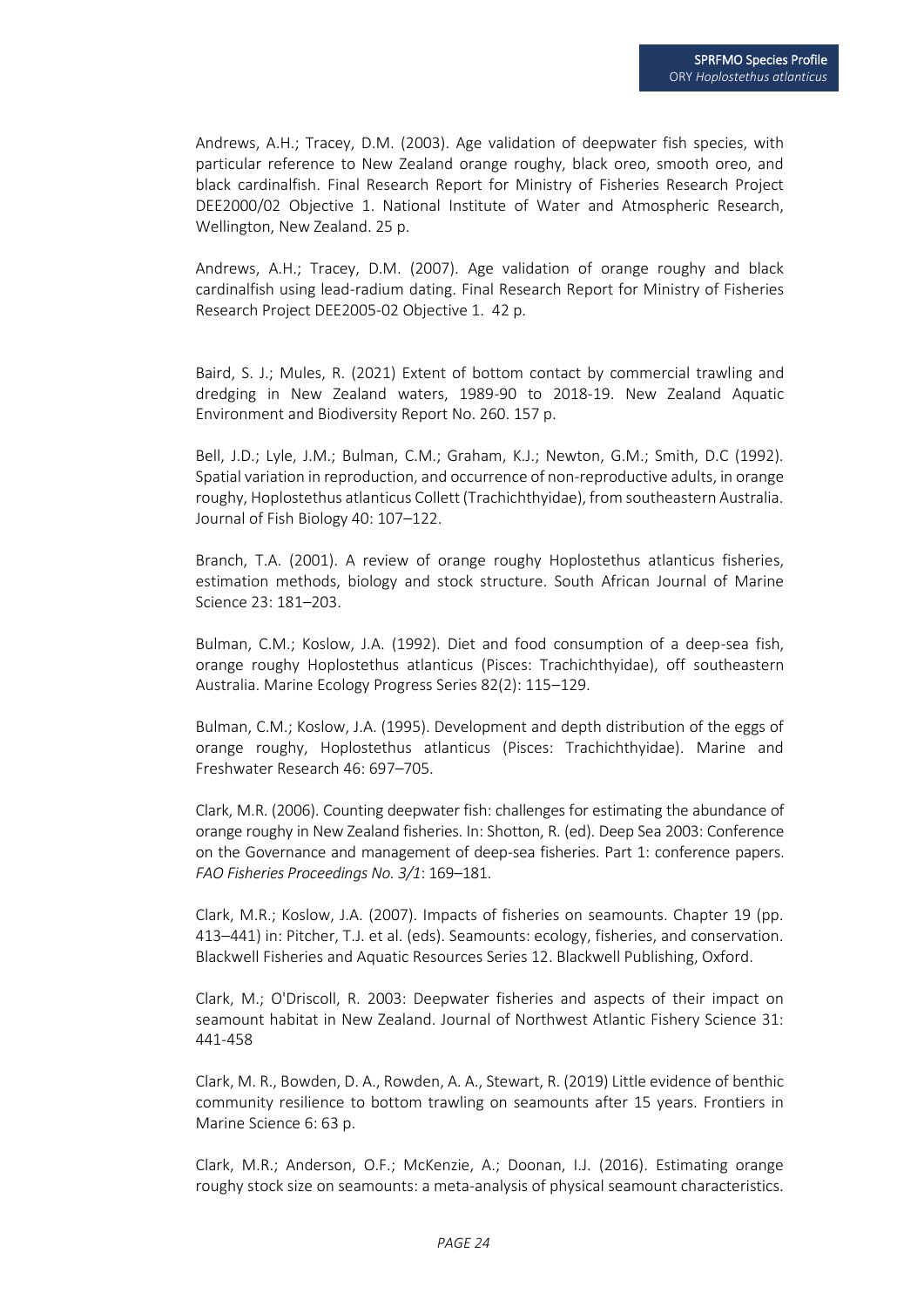Andrews, A.H.; Tracey, D.M. (2003). Age validation of deepwater fish species, with particular reference to New Zealand orange roughy, black oreo, smooth oreo, and black cardinalfish. Final Research Report for Ministry of Fisheries Research Project DEE2000/02 Objective 1. National Institute of Water and Atmospheric Research, Wellington, New Zealand. 25 p.

Andrews, A.H.; Tracey, D.M. (2007). Age validation of orange roughy and black cardinalfish using lead-radium dating. Final Research Report for Ministry of Fisheries Research Project DEE2005-02 Objective 1. 42 p.

Baird, S. J.; Mules, R. (2021) Extent of bottom contact by commercial trawling and dredging in New Zealand waters, 1989-90 to 2018-19. New Zealand Aquatic Environment and Biodiversity Report No. 260. 157 p.

Bell, J.D.; Lyle, J.M.; Bulman, C.M.; Graham, K.J.; Newton, G.M.; Smith, D.C (1992). Spatial variation in reproduction, and occurrence of non-reproductive adults, in orange roughy, Hoplostethus atlanticus Collett (Trachichthyidae), from southeastern Australia. Journal of Fish Biology 40: 107–122.

Branch, T.A. (2001). A review of orange roughy Hoplostethus atlanticus fisheries, estimation methods, biology and stock structure. South African Journal of Marine Science 23: 181–203.

Bulman, C.M.; Koslow, J.A. (1992). Diet and food consumption of a deep-sea fish, orange roughy Hoplostethus atlanticus (Pisces: Trachichthyidae), off southeastern Australia. Marine Ecology Progress Series 82(2): 115–129.

Bulman, C.M.; Koslow, J.A. (1995). Development and depth distribution of the eggs of orange roughy, Hoplostethus atlanticus (Pisces: Trachichthyidae). Marine and Freshwater Research 46: 697–705.

Clark, M.R. (2006). Counting deepwater fish: challenges for estimating the abundance of orange roughy in New Zealand fisheries. In: Shotton, R. (ed). Deep Sea 2003: Conference on the Governance and management of deep-sea fisheries. Part 1: conference papers. *FAO Fisheries Proceedings No. 3/1*: 169–181.

Clark, M.R.; Koslow, J.A. (2007). Impacts of fisheries on seamounts. Chapter 19 (pp. 413–441) in: Pitcher, T.J. et al. (eds). Seamounts: ecology, fisheries, and conservation. Blackwell Fisheries and Aquatic Resources Series 12. Blackwell Publishing, Oxford.

Clark, M.; O'Driscoll, R. 2003: Deepwater fisheries and aspects of their impact on seamount habitat in New Zealand. Journal of Northwest Atlantic Fishery Science 31: 441-458

Clark, M. R., Bowden, D. A., Rowden, A. A., Stewart, R. (2019) Little evidence of benthic community resilience to bottom trawling on seamounts after 15 years. Frontiers in Marine Science 6: 63 p.

Clark, M.R.; Anderson, O.F.; McKenzie, A.; Doonan, I.J. (2016). Estimating orange roughy stock size on seamounts: a meta-analysis of physical seamount characteristics.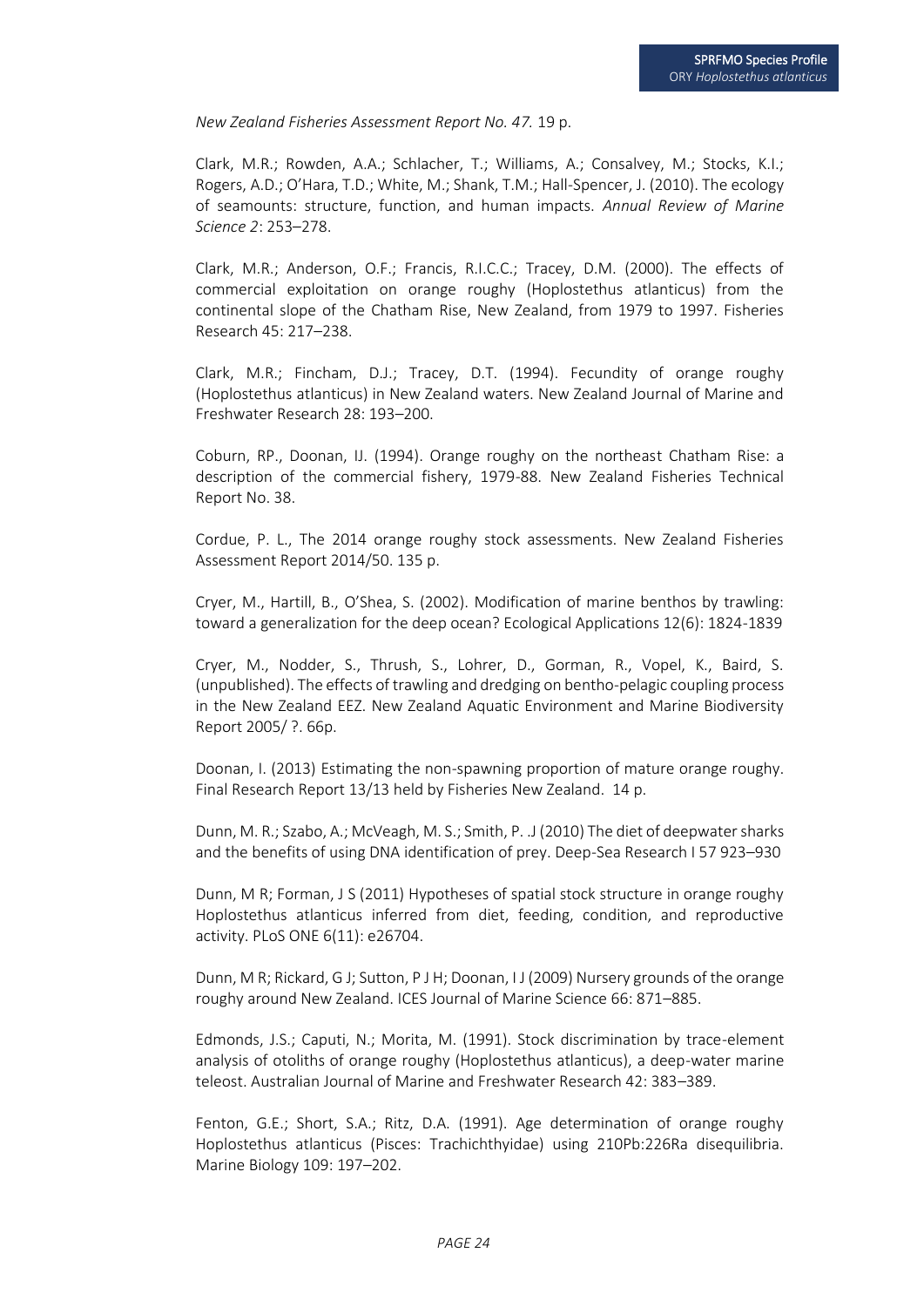*New Zealand Fisheries Assessment Report No. 47.* 19 p.

Clark, M.R.; Rowden, A.A.; Schlacher, T.; Williams, A.; Consalvey, M.; Stocks, K.I.; Rogers, A.D.; O'Hara, T.D.; White, M.; Shank, T.M.; Hall-Spencer, J. (2010). The ecology of seamounts: structure, function, and human impacts. *Annual Review of Marine Science 2*: 253–278.

Clark, M.R.; Anderson, O.F.; Francis, R.I.C.C.; Tracey, D.M. (2000). The effects of commercial exploitation on orange roughy (Hoplostethus atlanticus) from the continental slope of the Chatham Rise, New Zealand, from 1979 to 1997. Fisheries Research 45: 217–238.

Clark, M.R.; Fincham, D.J.; Tracey, D.T. (1994). Fecundity of orange roughy (Hoplostethus atlanticus) in New Zealand waters. New Zealand Journal of Marine and Freshwater Research 28: 193–200.

Coburn, RP., Doonan, IJ. (1994). Orange roughy on the northeast Chatham Rise: a description of the commercial fishery, 1979-88. New Zealand Fisheries Technical Report No. 38.

Cordue, P. L., The 2014 orange roughy stock assessments. New Zealand Fisheries Assessment Report 2014/50. 135 p.

Cryer, M., Hartill, B., O'Shea, S. (2002). Modification of marine benthos by trawling: toward a generalization for the deep ocean? Ecological Applications 12(6): 1824-1839

Cryer, M., Nodder, S., Thrush, S., Lohrer, D., Gorman, R., Vopel, K., Baird, S. (unpublished). The effects of trawling and dredging on bentho-pelagic coupling process in the New Zealand EEZ. New Zealand Aquatic Environment and Marine Biodiversity Report 2005/ ?. 66p.

Doonan, I. (2013) Estimating the non-spawning proportion of mature orange roughy. Final Research Report 13/13 held by Fisheries New Zealand. 14 p.

Dunn, M. R.; Szabo, A.; McVeagh, M. S.; Smith, P. .J (2010) The diet of deepwater sharks and the benefits of using DNA identification of prey. Deep-Sea Research I 57 923–930

Dunn, M R; Forman, J S (2011) Hypotheses of spatial stock structure in orange roughy Hoplostethus atlanticus inferred from diet, feeding, condition, and reproductive activity. PLoS ONE 6(11): e26704.

Dunn, M R; Rickard, G J; Sutton, P J H; Doonan, I J (2009) Nursery grounds of the orange roughy around New Zealand. ICES Journal of Marine Science 66: 871–885.

Edmonds, J.S.; Caputi, N.; Morita, M. (1991). Stock discrimination by trace-element analysis of otoliths of orange roughy (Hoplostethus atlanticus), a deep-water marine teleost. Australian Journal of Marine and Freshwater Research 42: 383–389.

Fenton, G.E.; Short, S.A.; Ritz, D.A. (1991). Age determination of orange roughy Hoplostethus atlanticus (Pisces: Trachichthyidae) using 210Pb:226Ra disequilibria. Marine Biology 109: 197–202.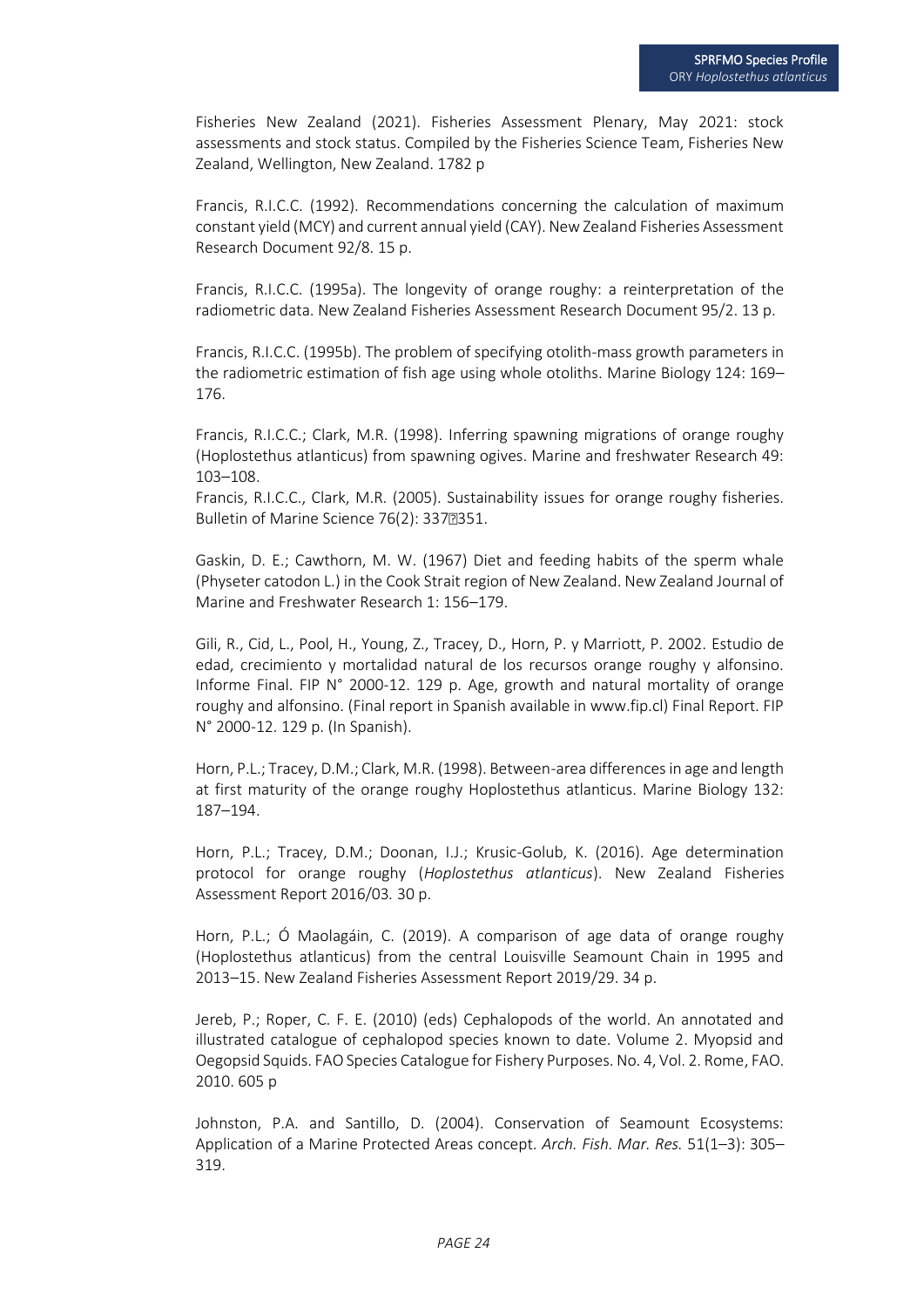Fisheries New Zealand (2021). Fisheries Assessment Plenary, May 2021: stock assessments and stock status. Compiled by the Fisheries Science Team, Fisheries New Zealand, Wellington, New Zealand. 1782 p

Francis, R.I.C.C. (1992). Recommendations concerning the calculation of maximum constant yield (MCY) and current annual yield (CAY). New Zealand Fisheries Assessment Research Document 92/8. 15 p.

Francis, R.I.C.C. (1995a). The longevity of orange roughy: a reinterpretation of the radiometric data. New Zealand Fisheries Assessment Research Document 95/2. 13 p.

Francis, R.I.C.C. (1995b). The problem of specifying otolith-mass growth parameters in the radiometric estimation of fish age using whole otoliths. Marine Biology 124: 169– 176.

Francis, R.I.C.C.; Clark, M.R. (1998). Inferring spawning migrations of orange roughy (Hoplostethus atlanticus) from spawning ogives. Marine and freshwater Research 49: 103–108.

Francis, R.I.C.C., Clark, M.R. (2005). Sustainability issues for orange roughy fisheries. Bulletin of Marine Science 76(2): 3372351.

Gaskin, D. E.; Cawthorn, M. W. (1967) Diet and feeding habits of the sperm whale (Physeter catodon L.) in the Cook Strait region of New Zealand. New Zealand Journal of Marine and Freshwater Research 1: 156–179.

Gili, R., Cid, L., Pool, H., Young, Z., Tracey, D., Horn, P. y Marriott, P. 2002. Estudio de edad, crecimiento y mortalidad natural de los recursos orange roughy y alfonsino. Informe Final. FIP N° 2000-12. 129 p. Age, growth and natural mortality of orange roughy and alfonsino. (Final report in Spanish available in www.fip.cl) Final Report. FIP N° 2000-12. 129 p. (In Spanish).

Horn, P.L.; Tracey, D.M.; Clark, M.R. (1998). Between-area differences in age and length at first maturity of the orange roughy Hoplostethus atlanticus. Marine Biology 132: 187–194.

Horn, P.L.; Tracey, D.M.; Doonan, I.J.; Krusic-Golub, K. (2016). Age determination protocol for orange roughy (*Hoplostethus atlanticus*). New Zealand Fisheries Assessment Report 2016/03*.* 30 p.

Horn, P.L.; Ó Maolagáin, C. (2019). A comparison of age data of orange roughy (Hoplostethus atlanticus) from the central Louisville Seamount Chain in 1995 and 2013–15. New Zealand Fisheries Assessment Report 2019/29. 34 p.

Jereb, P.; Roper, C. F. E. (2010) (eds) Cephalopods of the world. An annotated and illustrated catalogue of cephalopod species known to date. Volume 2. Myopsid and Oegopsid Squids. FAO Species Catalogue for Fishery Purposes. No. 4, Vol. 2. Rome, FAO. 2010. 605 p

Johnston, P.A. and Santillo, D. (2004). Conservation of Seamount Ecosystems: Application of a Marine Protected Areas concept. *Arch. Fish. Mar. Res.* 51(1–3): 305– 319.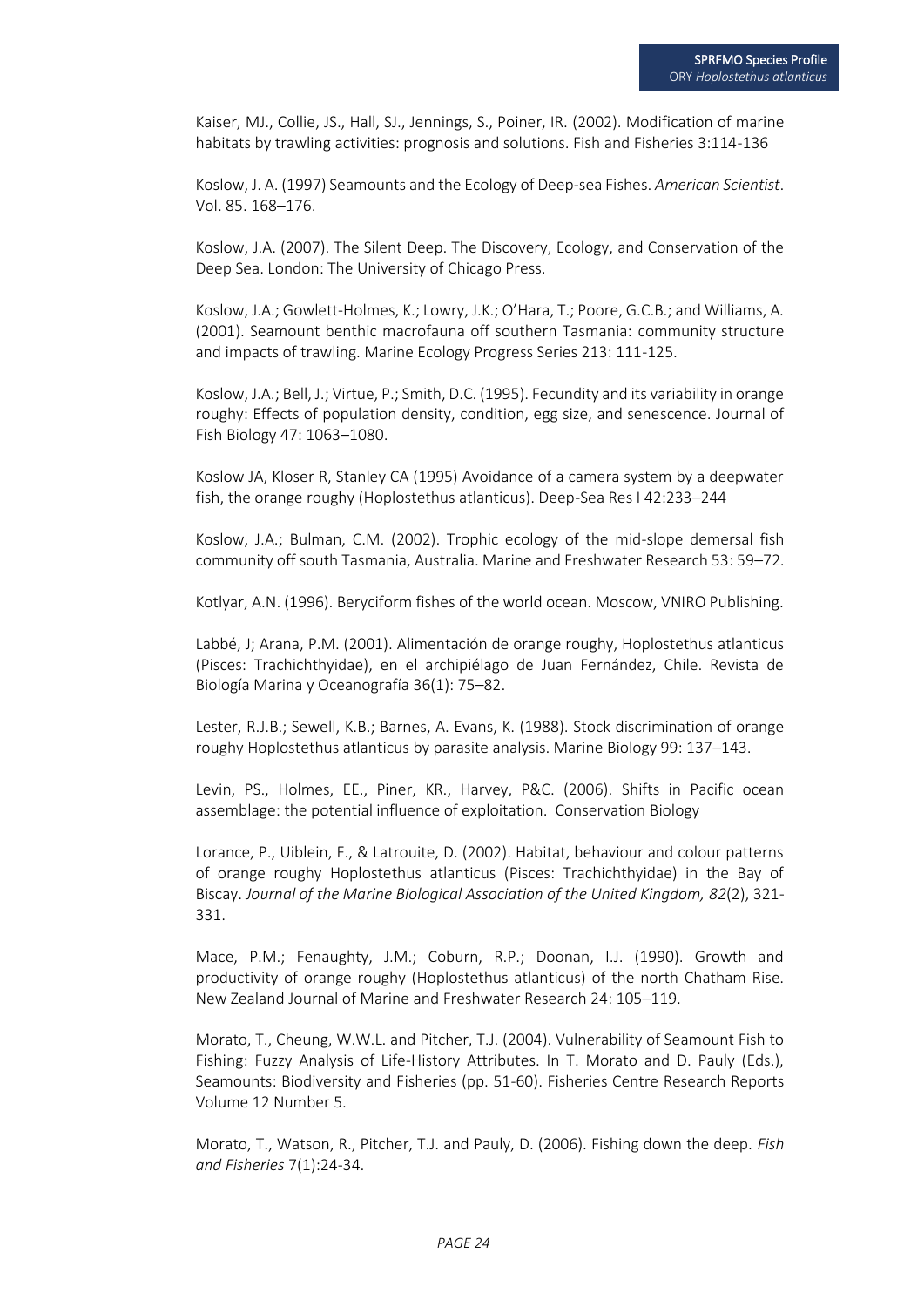Kaiser, MJ., Collie, JS., Hall, SJ., Jennings, S., Poiner, IR. (2002). Modification of marine habitats by trawling activities: prognosis and solutions. Fish and Fisheries 3:114-136

Koslow, J. A. (1997) Seamounts and the Ecology of Deep-sea Fishes. *American Scientist*. Vol. 85. 168–176.

Koslow, J.A. (2007). The Silent Deep. The Discovery, Ecology, and Conservation of the Deep Sea. London: The University of Chicago Press.

Koslow, J.A.; Gowlett-Holmes, K.; Lowry, J.K.; O'Hara, T.; Poore, G.C.B.; and Williams, A. (2001). Seamount benthic macrofauna off southern Tasmania: community structure and impacts of trawling. Marine Ecology Progress Series 213: 111-125.

Koslow, J.A.; Bell, J.; Virtue, P.; Smith, D.C. (1995). Fecundity and its variability in orange roughy: Effects of population density, condition, egg size, and senescence. Journal of Fish Biology 47: 1063–1080.

Koslow JA, Kloser R, Stanley CA (1995) Avoidance of a camera system by a deepwater fish, the orange roughy (Hoplostethus atlanticus). Deep-Sea Res I 42:233–244

Koslow, J.A.; Bulman, C.M. (2002). Trophic ecology of the mid-slope demersal fish community off south Tasmania, Australia. Marine and Freshwater Research 53: 59–72.

Kotlyar, A.N. (1996). Beryciform fishes of the world ocean. Moscow, VNIRO Publishing.

Labbé, J; Arana, P.M. (2001). Alimentación de orange roughy, Hoplostethus atlanticus (Pisces: Trachichthyidae), en el archipiélago de Juan Fernández, Chile. Revista de Biología Marina y Oceanografía 36(1): 75–82.

Lester, R.J.B.; Sewell, K.B.; Barnes, A. Evans, K. (1988). Stock discrimination of orange roughy Hoplostethus atlanticus by parasite analysis. Marine Biology 99: 137–143.

Levin, PS., Holmes, EE., Piner, KR., Harvey, P&C. (2006). Shifts in Pacific ocean assemblage: the potential influence of exploitation. Conservation Biology

Lorance, P., Uiblein, F., & Latrouite, D. (2002). Habitat, behaviour and colour patterns of orange roughy Hoplostethus atlanticus (Pisces: Trachichthyidae) in the Bay of Biscay. *Journal of the Marine Biological Association of the United Kingdom, 82*(2), 321- 331.

Mace, P.M.; Fenaughty, J.M.; Coburn, R.P.; Doonan, I.J. (1990). Growth and productivity of orange roughy (Hoplostethus atlanticus) of the north Chatham Rise. New Zealand Journal of Marine and Freshwater Research 24: 105–119.

Morato, T., Cheung, W.W.L. and Pitcher, T.J. (2004). Vulnerability of Seamount Fish to Fishing: Fuzzy Analysis of Life-History Attributes. In T. Morato and D. Pauly (Eds.), Seamounts: Biodiversity and Fisheries (pp. 51-60). Fisheries Centre Research Reports Volume 12 Number 5.

Morato, T., Watson, R., Pitcher, T.J. and Pauly, D. (2006). Fishing down the deep. *Fish and Fisheries* 7(1):24-34.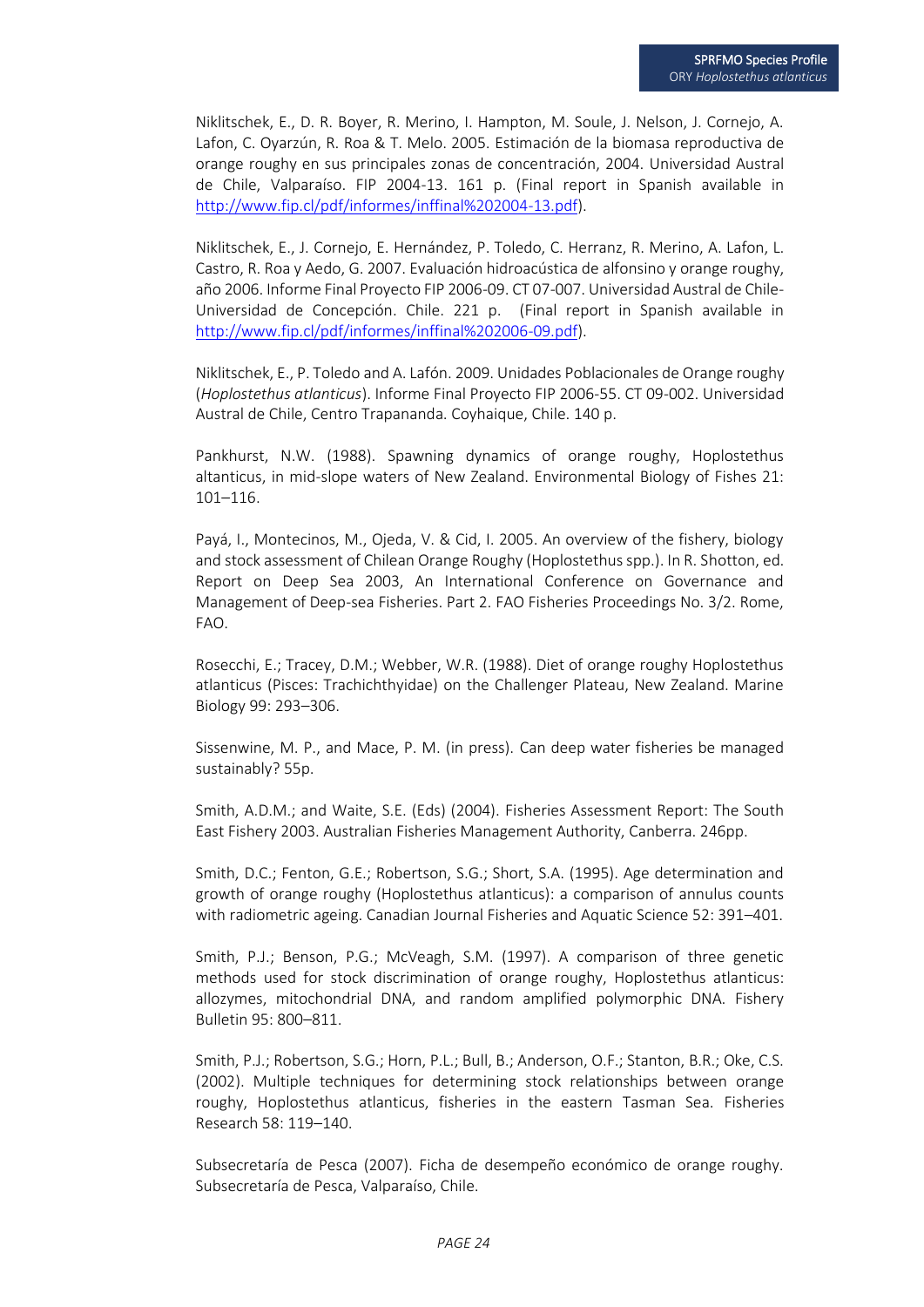Niklitschek, E., D. R. Boyer, R. Merino, I. Hampton, M. Soule, J. Nelson, J. Cornejo, A. Lafon, C. Oyarzún, R. Roa & T. Melo. 2005. Estimación de la biomasa reproductiva de orange roughy en sus principales zonas de concentración, 2004. Universidad Austral de Chile, Valparaíso. FIP 2004-13. 161 p. (Final report in Spanish available in [http://www.fip.cl/pdf/informes/inffinal%202004-13.pdf\)](http://www.fip.cl/pdf/informes/inffinal%202004-13.pdf).

Niklitschek, E., J. Cornejo, E. Hernández, P. Toledo, C. Herranz, R. Merino, A. Lafon, L. Castro, R. Roa y Aedo, G. 2007. Evaluación hidroacústica de alfonsino y orange roughy, año 2006. Informe Final Proyecto FIP 2006-09. CT 07-007. Universidad Austral de Chile-Universidad de Concepción. Chile. 221 p. (Final report in Spanish available in [http://www.fip.cl/pdf/informes/inffinal%202006-09.pdf\)](http://www.fip.cl/pdf/informes/inffinal%202006-09.pdf).

Niklitschek, E., P. Toledo and A. Lafón. 2009. Unidades Poblacionales de Orange roughy (*Hoplostethus atlanticus*). Informe Final Proyecto FIP 2006-55. CT 09-002. Universidad Austral de Chile, Centro Trapananda. Coyhaique, Chile. 140 p.

Pankhurst, N.W. (1988). Spawning dynamics of orange roughy, Hoplostethus altanticus, in mid-slope waters of New Zealand. Environmental Biology of Fishes 21: 101–116.

Payá, I., Montecinos, M., Ojeda, V. & Cid, I. 2005. An overview of the fishery, biology and stock assessment of Chilean Orange Roughy (Hoplostethus spp.). In R. Shotton, ed. Report on Deep Sea 2003, An International Conference on Governance and Management of Deep-sea Fisheries. Part 2. FAO Fisheries Proceedings No. 3/2. Rome, FAO.

Rosecchi, E.; Tracey, D.M.; Webber, W.R. (1988). Diet of orange roughy Hoplostethus atlanticus (Pisces: Trachichthyidae) on the Challenger Plateau, New Zealand. Marine Biology 99: 293–306.

Sissenwine, M. P., and Mace, P. M. (in press). Can deep water fisheries be managed sustainably? 55p.

Smith, A.D.M.; and Waite, S.E. (Eds) (2004). Fisheries Assessment Report: The South East Fishery 2003. Australian Fisheries Management Authority, Canberra. 246pp.

Smith, D.C.; Fenton, G.E.; Robertson, S.G.; Short, S.A. (1995). Age determination and growth of orange roughy (Hoplostethus atlanticus): a comparison of annulus counts with radiometric ageing. Canadian Journal Fisheries and Aquatic Science 52: 391–401.

Smith, P.J.; Benson, P.G.; McVeagh, S.M. (1997). A comparison of three genetic methods used for stock discrimination of orange roughy, Hoplostethus atlanticus: allozymes, mitochondrial DNA, and random amplified polymorphic DNA. Fishery Bulletin 95: 800–811.

Smith, P.J.; Robertson, S.G.; Horn, P.L.; Bull, B.; Anderson, O.F.; Stanton, B.R.; Oke, C.S. (2002). Multiple techniques for determining stock relationships between orange roughy, Hoplostethus atlanticus, fisheries in the eastern Tasman Sea. Fisheries Research 58: 119–140.

Subsecretaría de Pesca (2007). Ficha de desempeño económico de orange roughy. Subsecretaría de Pesca, Valparaíso, Chile.